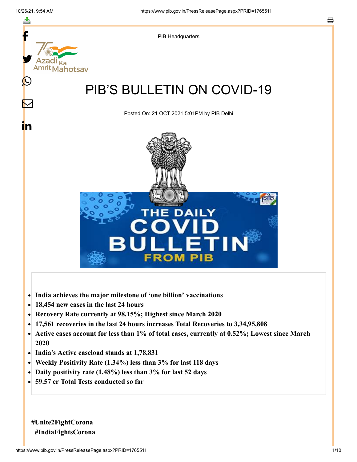

- **India achieves the major milestone of 'one billion' vaccinations**
- **18,454 new cases in the last 24 hours**  $\bullet$
- **Recovery Rate currently at 98.15%; Highest since March 2020**
- **17,561 recoveries in the last 24 hours increases Total Recoveries to 3,34,95,808**
- **Active cases account for less than 1% of total cases, currently at 0.52%; Lowest since March**  $\bullet$ **2020**
- **India's Active caseload stands at 1,78,831**
- **Weekly Positivity Rate (1.34%) less than 3% for last 118 days**  $\bullet$
- **Daily positivity rate (1.48%) less than 3% for last 52 days**
- **59.57 cr Total Tests conducted so far**

**#Unite2FightCorona #IndiaFightsCorona**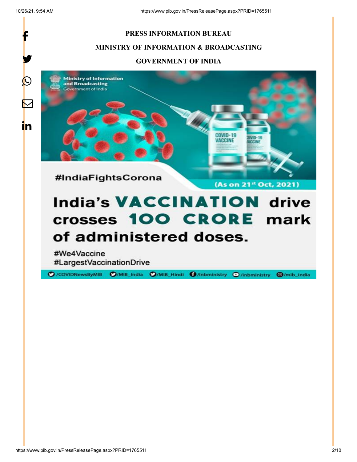

# of administered doses.

#We4Vaccine #LargestVaccinationDrive

O /COVIDNewsByMIB O/MIB\_India O/MIB\_Hindi **O**/inbministry **O**/inbministry **@/mib\_india** 

https://www.pib.gov.in/PressReleasePage.aspx?PRID=1765511 2/10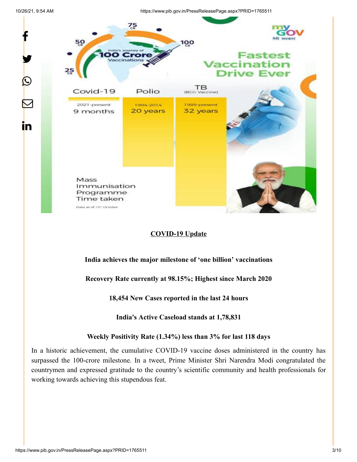y.

P

 $\color{red} \mathbf{\nabla}$ 

in

10/26/21, 9:54 AM https://www.pib.gov.in/PressReleasePage.aspx?PRID=1765511



## **COVID-19 Update**

**India achieves the major milestone of 'one billion' vaccinations**

**Recovery Rate currently at 98.15%; Highest since March 2020**

**18,454 New Cases reported in the last 24 hours**

**India's Active Caseload stands at 1,78,831**

**Weekly Positivity Rate (1.34%) less than 3% for last 118 days**

In a historic achievement, the cumulative COVID-19 vaccine doses administered in the country has surpassed the 100-crore milestone. In a tweet, Prime Minister Shri Narendra Modi congratulated the countrymen and expressed gratitude to the country's scientific community and health professionals for working towards achieving this stupendous feat.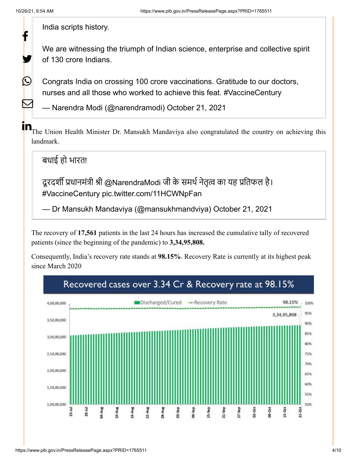У.

 $\bm{\mathbb{O}}$ 

 $\mathbf \Xi$ 

India scripts history.

We are witnessing the triumph of Indian science, enterprise and collective spirit of 130 crore Indians.

Congrats India on crossing 100 crore vaccinations. Gratitude to our doctors, nurses and all those who worked to achieve this feat. [#VaccineCentury](https://twitter.com/hashtag/VaccineCentury?src=hash&ref_src=twsrc%5Etfw)

— Narendra Modi (@narendramodi) [October 21, 2021](https://twitter.com/narendramodi/status/1451051712387731458?ref_src=twsrc%5Etfw)

The Union Health Minister Dr. Mansukh Mandaviya also congratulated the country on achieving this landmark. in

बधाई हो भारत!

दूरदर्शी प्रधानमंत्री श्री [@NarendraModi](https://twitter.com/narendramodi?ref_src=twsrc%5Etfw) जी के समर्थ नेतृत्व का यह प्रतिफल है। [#VaccineCentury](https://twitter.com/hashtag/VaccineCentury?src=hash&ref_src=twsrc%5Etfw) [pic.twitter.com/11HCWNpFan](https://t.co/11HCWNpFan)

— Dr Mansukh Mandaviya (@mansukhmandviya) [October 21, 2021](https://twitter.com/mansukhmandviya/status/1451040097424470018?ref_src=twsrc%5Etfw)

The recovery of **17,561** patients in the last 24 hours has increased the cumulative tally of recovered patients (since the beginning of the pandemic) to **3,34,95,808.**

Consequently, India's recovery rate stands at **98.15%**. Recovery Rate is currently at its highest peak since March 2020

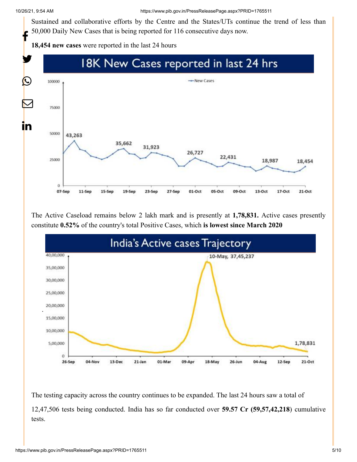Sustained and collaborative efforts by the Centre and the States/UTs continue the trend of less than 50,000 Daily New Cases that is being reported for 116 consecutive days now. f

**18,454 new cases** were reported in the last 24 hours



The Active Caseload remains below 2 lakh mark and is presently at **1,78,831.** Active cases presently constitute **0.52%** of the country's total Positive Cases, which **is lowest since March 2020**



The testing capacity across the country continues to be expanded. The last 24 hours saw a total of 12,47,506 tests being conducted. India has so far conducted over **59.57 Cr (59,57,42,218**) cumulative tests.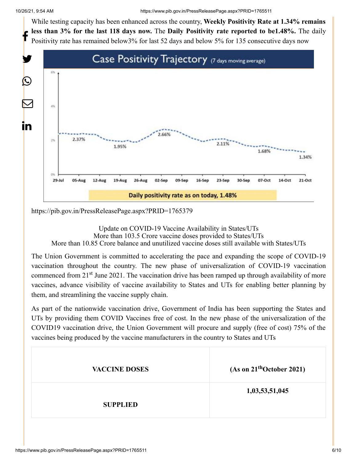While testing capacity has been enhanced across the country, **Weekly Positivity Rate at 1.34% remains less than 3% for the last 118 days now.** The **Daily Positivity rate reported to be1.48%.** The daily Positivity rate has remained below3% for last 52 days and below 5% for 135 consecutive days now f



<https://pib.gov.in/PressReleasePage.aspx?PRID=1765379>

Update on COVID-19 Vaccine Availability in States/UTs More than 103.5 Crore vaccine doses provided to States/UTs More than 10.85 Crore balance and unutilized vaccine doses still available with States/UTs

The Union Government is committed to accelerating the pace and expanding the scope of COVID-19 vaccination throughout the country. The new phase of universalization of COVID-19 vaccination commenced from 21<sup>st</sup> June 2021. The vaccination drive has been ramped up through availability of more vaccines, advance visibility of vaccine availability to States and UTs for enabling better planning by them, and streamlining the vaccine supply chain.

As part of the nationwide vaccination drive, Government of India has been supporting the States and UTs by providing them COVID Vaccines free of cost. In the new phase of the universalization of the COVID19 vaccination drive, the Union Government will procure and supply (free of cost) 75% of the vaccines being produced by the vaccine manufacturers in the country to States and UTs

| <b>VACCINE DOSES</b> | (As on $21^{\text{th}}$ October 2021) |
|----------------------|---------------------------------------|
| <b>SUPPLIED</b>      | 1,03,53,51,045                        |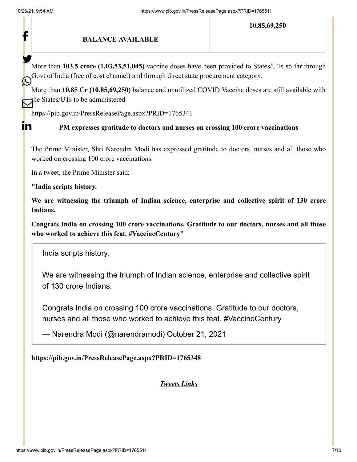$\mathbf{in}$ 

#### **BALANCE AVAILABLE**

**10,85,69,250**

More than **103.5 crore (1,03,53,51,045)** vaccine doses have been provided to States/UTs so far through Govt of India (free of cost channel) and through direct state procurement category. У.

More than **10.85 Cr (10,85,69,250)** balance and unutilized COVID Vaccine doses are still available with the States/UTs to be administered

<https://pib.gov.in/PressReleasePage.aspx?PRID=1765341>

### **PM expresses gratitude to doctors and nurses on crossing 100 crore vaccinations**

The Prime Minister, Shri Narendra Modi has expressed gratitude to doctors, nurses and all those who worked on crossing 100 crore vaccinations.

In a tweet, the Prime Minister said;

**"India scripts history.**

**We are witnessing the triumph of Indian science, enterprise and collective spirit of 130 crore Indians.**

**Congrats India on crossing 100 crore vaccinations. Gratitude to our doctors, nurses and all those who worked to achieve this feat. #VaccineCentury"**

India scripts history.

We are witnessing the triumph of Indian science, enterprise and collective spirit of 130 crore Indians.

Congrats India on crossing 100 crore vaccinations. Gratitude to our doctors, nurses and all those who worked to achieve this feat. [#VaccineCentury](https://twitter.com/hashtag/VaccineCentury?src=hash&ref_src=twsrc%5Etfw)

— Narendra Modi (@narendramodi) [October 21, 2021](https://twitter.com/narendramodi/status/1451051712387731458?ref_src=twsrc%5Etfw)

### **<https://pib.gov.in/PressReleasePage.aspx?PRID=1765348>**

*Tweets Links*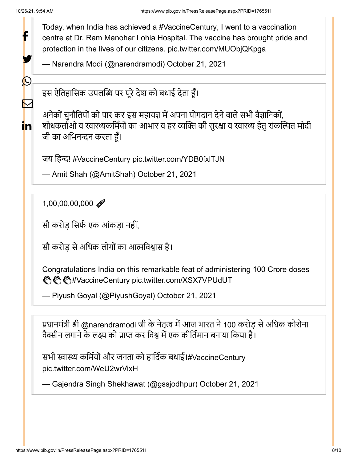У.

 $\bigcirc$ 

 $\mathbf \Xi$ 

in.

Today, when India has achieved a [#VaccineCentury,](https://twitter.com/hashtag/VaccineCentury?src=hash&ref_src=twsrc%5Etfw) I went to a vaccination centre at Dr. Ram Manohar Lohia Hospital. The vaccine has brought pride and protection in the lives of our citizens. [pic.twitter.com/MUObjQKpga](https://t.co/MUObjQKpga)

— Narendra Modi (@narendramodi) [October 21, 2021](https://twitter.com/narendramodi/status/1451080289027977219?ref_src=twsrc%5Etfw)

इस ऐतिहासिक उपलब्धि पर पूरे देश को बधाई देता हूँ।

अनेकों चुनौतियों को पार कर इस महायज्ञ में अपना योगदान देने वाले सभी वैज्ञानिकों, शोधकर्ताओं व स्वास्थ्यकर्मियों का आभार व हर व्यक्ति की सुरक्षा व स्वास्थ्य हेतु संकल्पित मोदी जी का अभिनन्दन करता हूँ।

जय हिन्द! [#VaccineCentury](https://twitter.com/hashtag/VaccineCentury?src=hash&ref_src=twsrc%5Etfw) [pic.twitter.com/YDB0fxlTJN](https://t.co/YDB0fxlTJN)

— Amit Shah (@AmitShah) [October 21, 2021](https://twitter.com/AmitShah/status/1451053676009639941?ref_src=twsrc%5Etfw)

1,00,00,00,000

सौ करोड़ सिर्फ एक आंकड़ा नहीं.

सौ करोड़ से अधिक लोगों का आत्मविश्वास है।

Congratulations India on this remarkable feat of administering 100 Crore doses **<sup>ඁ</sup>ඁ</mark> ඁ**/ *#*VaccineCentury [pic.twitter.com/XSX7VPUdUT](https://t.co/XSX7VPUdUT)

— Piyush Goyal (@PiyushGoyal) [October 21, 2021](https://twitter.com/PiyushGoyal/status/1451039876355215362?ref_src=twsrc%5Etfw)

प्रधानमंत्री श्री [@narendramodi](https://twitter.com/narendramodi?ref_src=twsrc%5Etfw) जी के नेतृत्व में आज भारत ने 100 करोड़ से अधिक कोरोना वैक्सीन लगाने के लक्ष्य को प्राप्त कर विश्व में एक कीर्तिमान बनाया किया है।

सभी स्वास्थ्य कर्मियों और जनता को हार्दिक बधाई।[#VaccineCentury](https://twitter.com/hashtag/VaccineCentury?src=hash&ref_src=twsrc%5Etfw) [pic.twitter.com/WeU2wrVixH](https://t.co/WeU2wrVixH)

— Gajendra Singh Shekhawat (@gssjodhpur) [October 21, 2021](https://twitter.com/gssjodhpur/status/1451068610231685128?ref_src=twsrc%5Etfw)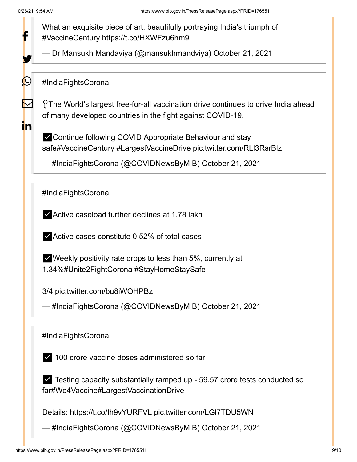У.

 $(\cup)$ 

M

<u>in</u>

What an exquisite piece of art, beautifully portraying India's triumph of [#VaccineCentury](https://twitter.com/hashtag/VaccineCentury?src=hash&ref_src=twsrc%5Etfw) <https://t.co/HXWFzu6hm9>

— Dr Mansukh Mandaviya (@mansukhmandviya) [October 21, 2021](https://twitter.com/mansukhmandviya/status/1451070591386021893?ref_src=twsrc%5Etfw)

[#IndiaFightsCorona](https://twitter.com/hashtag/IndiaFightsCorona?src=hash&ref_src=twsrc%5Etfw):

The World's largest free-for-all vaccination drive continues to drive India ahead of many developed countries in the fight against COVID-19.

✅Continue following COVID Appropriate Behaviour and stay saf[e#VaccineCentury](https://twitter.com/hashtag/VaccineCentury?src=hash&ref_src=twsrc%5Etfw) [#LargestVaccineDrive](https://twitter.com/hashtag/LargestVaccineDrive?src=hash&ref_src=twsrc%5Etfw) [pic.twitter.com/RLl3RsrBlz](https://t.co/RLl3RsrBlz)

— #IndiaFightsCorona (@COVIDNewsByMIB) [October 21, 2021](https://twitter.com/COVIDNewsByMIB/status/1451073456930377732?ref_src=twsrc%5Etfw)

[#IndiaFightsCorona](https://twitter.com/hashtag/IndiaFightsCorona?src=hash&ref_src=twsrc%5Etfw):

✅Active caseload further declines at 1.78 lakh

 $\blacktriangleright$  Active cases constitute 0.52% of total cases

 $\vee$  Weekly positivity rate drops to less than 5%, currently at 1.34%[#Unite2FightCorona](https://twitter.com/hashtag/Unite2FightCorona?src=hash&ref_src=twsrc%5Etfw) [#StayHomeStaySafe](https://twitter.com/hashtag/StayHomeStaySafe?src=hash&ref_src=twsrc%5Etfw)

3/4 [pic.twitter.com/bu8iWOHPBz](https://t.co/bu8iWOHPBz)

— #IndiaFightsCorona (@COVIDNewsByMIB) [October 21, 2021](https://twitter.com/COVIDNewsByMIB/status/1451079748344430593?ref_src=twsrc%5Etfw)

[#IndiaFightsCorona](https://twitter.com/hashtag/IndiaFightsCorona?src=hash&ref_src=twsrc%5Etfw):

✅ 100 crore vaccine doses administered so far

✅ Testing capacity substantially ramped up - 59.57 crore tests conducted so far[#We4Vaccine](https://twitter.com/hashtag/We4Vaccine?src=hash&ref_src=twsrc%5Etfw)[#LargestVaccinationDrive](https://twitter.com/hashtag/LargestVaccinationDrive?src=hash&ref_src=twsrc%5Etfw)

Details: <https://t.co/Ih9vYURFVL> [pic.twitter.com/LGl7TDU5WN](https://t.co/LGl7TDU5WN)

— #IndiaFightsCorona (@COVIDNewsByMIB) [October 21, 2021](https://twitter.com/COVIDNewsByMIB/status/1451079843580313600?ref_src=twsrc%5Etfw)